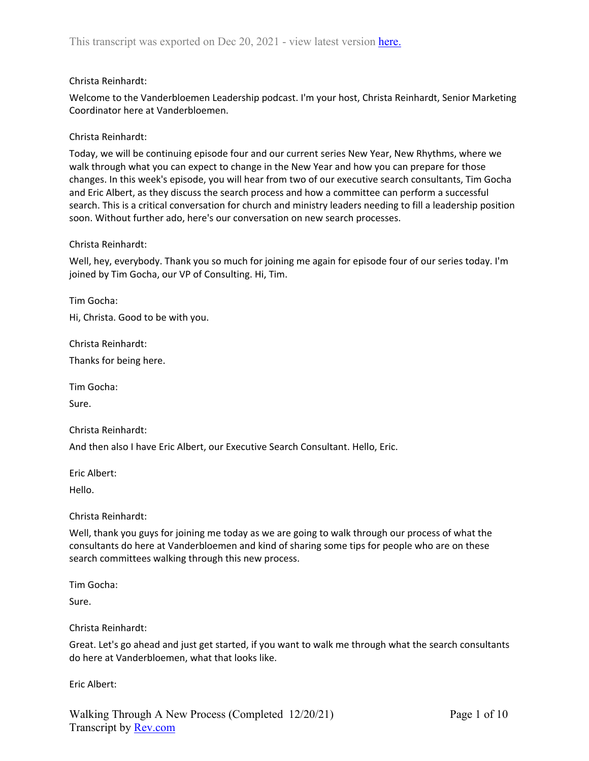Welcome to the Vanderbloemen Leadership podcast. I'm your host, Christa Reinhardt, Senior Marketing Coordinator here at Vanderbloemen.

#### Christa Reinhardt:

Today, we will be continuing episode four and our current series New Year, New Rhythms, where we walk through what you can expect to change in the New Year and how you can prepare for those changes. In this week's episode, you will hear from two of our executive search consultants, Tim Gocha and Eric Albert, as they discuss the search process and how a committee can perform a successful search. This is a critical conversation for church and ministry leaders needing to fill a leadership position soon. Without further ado, here's our conversation on new search processes.

#### Christa Reinhardt:

Well, hey, everybody. Thank you so much for joining me again for episode four of our series today. I'm joined by Tim Gocha, our VP of Consulting. Hi, Tim.

Tim Gocha:

Hi, Christa. Good to be with you.

Christa Reinhardt:

Thanks for being here.

Tim Gocha:

Sure.

Christa Reinhardt:

And then also I have Eric Albert, our Executive Search Consultant. Hello, Eric.

Eric Albert:

Hello.

Christa Reinhardt:

Well, thank you guys for joining me today as we are going to walk through our process of what the consultants do here at Vanderbloemen and kind of sharing some tips for people who are on these search committees walking through this new process.

Tim Gocha:

Sure.

Christa Reinhardt:

Great. Let's go ahead and just get started, if you want to walk me through what the search consultants do here at Vanderbloemen, what that looks like.

Eric Albert: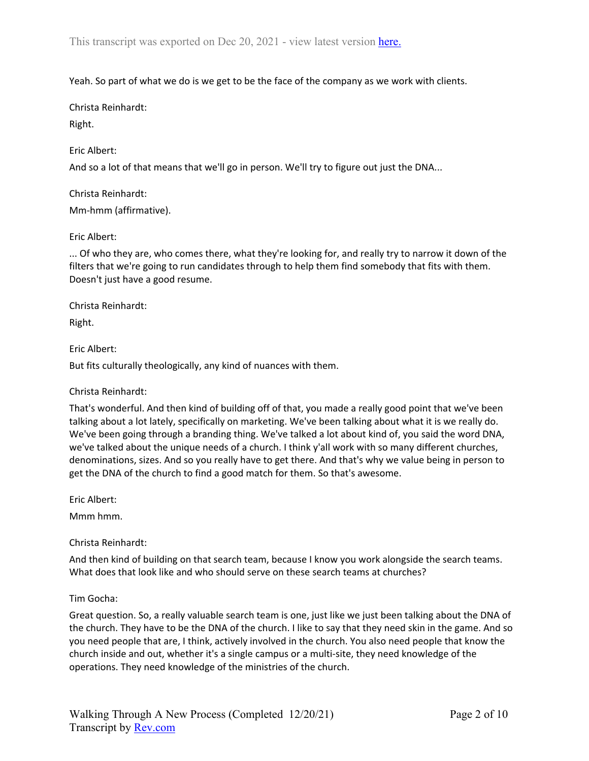### Yeah. So part of what we do is we get to be the face of the company as we work with clients.

Christa Reinhardt:

Right.

Eric Albert:

And so a lot of that means that we'll go in person. We'll try to figure out just the DNA...

Christa Reinhardt: Mm-hmm (affirmative).

### Eric Albert:

... Of who they are, who comes there, what they're looking for, and really try to narrow it down of the filters that we're going to run candidates through to help them find somebody that fits with them. Doesn't just have a good resume.

Christa Reinhardt:

Right.

Eric Albert:

But fits culturally theologically, any kind of nuances with them.

Christa Reinhardt:

That's wonderful. And then kind of building off of that, you made a really good point that we've been talking about a lot lately, specifically on marketing. We've been talking about what it is we really do. We've been going through a branding thing. We've talked a lot about kind of, you said the word DNA, we've talked about the unique needs of a church. I think y'all work with so many different churches, denominations, sizes. And so you really have to get there. And that's why we value being in person to get the DNA of the church to find a good match for them. So that's awesome.

Eric Albert:

Mmm hmm.

Christa Reinhardt:

And then kind of building on that search team, because I know you work alongside the search teams. What does that look like and who should serve on these search teams at churches?

### Tim Gocha:

Great question. So, a really valuable search team is one, just like we just been talking about the DNA of the church. They have to be the DNA of the church. I like to say that they need skin in the game. And so you need people that are, I think, actively involved in the church. You also need people that know the church inside and out, whether it's a single campus or a multi-site, they need knowledge of the operations. They need knowledge of the ministries of the church.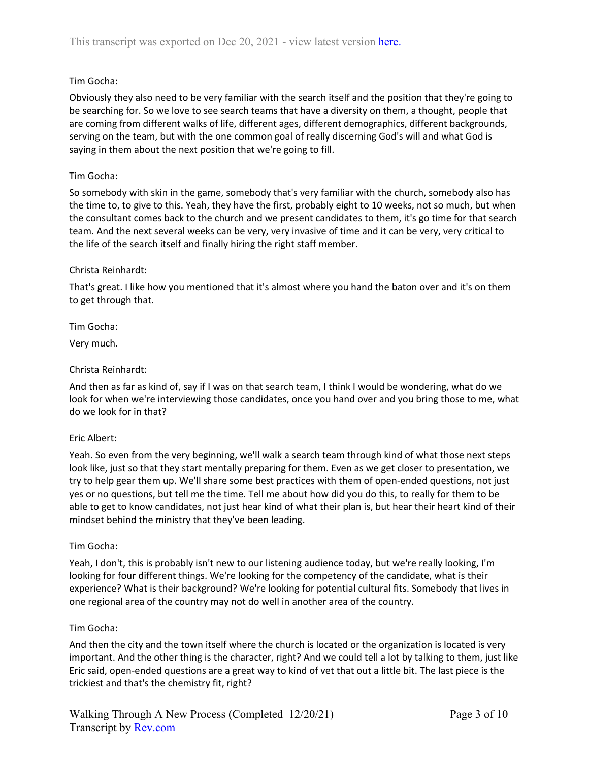## Tim Gocha:

Obviously they also need to be very familiar with the search itself and the position that they're going to be searching for. So we love to see search teams that have a diversity on them, a thought, people that are coming from different walks of life, different ages, different demographics, different backgrounds, serving on the team, but with the one common goal of really discerning God's will and what God is saying in them about the next position that we're going to fill.

### Tim Gocha:

So somebody with skin in the game, somebody that's very familiar with the church, somebody also has the time to, to give to this. Yeah, they have the first, probably eight to 10 weeks, not so much, but when the consultant comes back to the church and we present candidates to them, it's go time for that search team. And the next several weeks can be very, very invasive of time and it can be very, very critical to the life of the search itself and finally hiring the right staff member.

### Christa Reinhardt:

That's great. I like how you mentioned that it's almost where you hand the baton over and it's on them to get through that.

Tim Gocha:

Very much.

## Christa Reinhardt:

And then as far as kind of, say if I was on that search team, I think I would be wondering, what do we look for when we're interviewing those candidates, once you hand over and you bring those to me, what do we look for in that?

### Eric Albert:

Yeah. So even from the very beginning, we'll walk a search team through kind of what those next steps look like, just so that they start mentally preparing for them. Even as we get closer to presentation, we try to help gear them up. We'll share some best practices with them of open-ended questions, not just yes or no questions, but tell me the time. Tell me about how did you do this, to really for them to be able to get to know candidates, not just hear kind of what their plan is, but hear their heart kind of their mindset behind the ministry that they've been leading.

### Tim Gocha:

Yeah, I don't, this is probably isn't new to our listening audience today, but we're really looking, I'm looking for four different things. We're looking for the competency of the candidate, what is their experience? What is their background? We're looking for potential cultural fits. Somebody that lives in one regional area of the country may not do well in another area of the country.

### Tim Gocha:

And then the city and the town itself where the church is located or the organization is located is very important. And the other thing is the character, right? And we could tell a lot by talking to them, just like Eric said, open-ended questions are a great way to kind of vet that out a little bit. The last piece is the trickiest and that's the chemistry fit, right?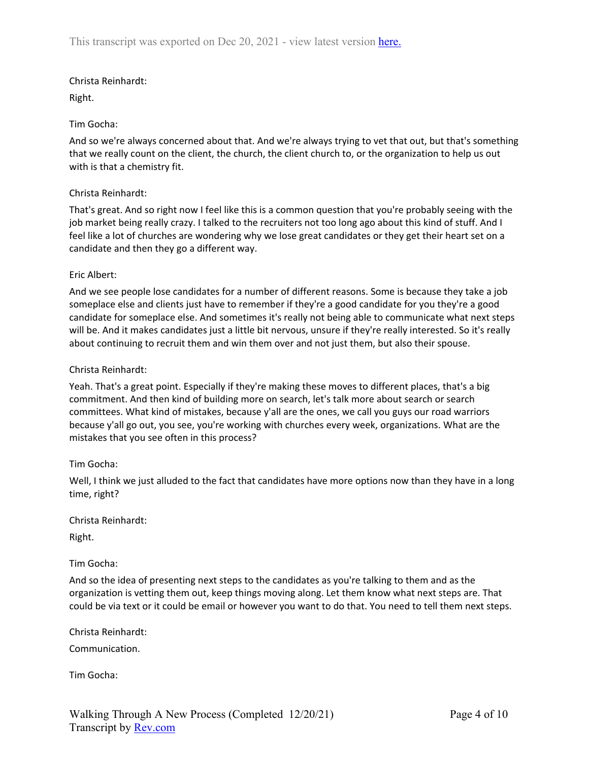Right.

### Tim Gocha:

And so we're always concerned about that. And we're always trying to vet that out, but that's something that we really count on the client, the church, the client church to, or the organization to help us out with is that a chemistry fit.

## Christa Reinhardt:

That's great. And so right now I feel like this is a common question that you're probably seeing with the job market being really crazy. I talked to the recruiters not too long ago about this kind of stuff. And I feel like a lot of churches are wondering why we lose great candidates or they get their heart set on a candidate and then they go a different way.

## Eric Albert:

And we see people lose candidates for a number of different reasons. Some is because they take a job someplace else and clients just have to remember if they're a good candidate for you they're a good candidate for someplace else. And sometimes it's really not being able to communicate what next steps will be. And it makes candidates just a little bit nervous, unsure if they're really interested. So it's really about continuing to recruit them and win them over and not just them, but also their spouse.

## Christa Reinhardt:

Yeah. That's a great point. Especially if they're making these moves to different places, that's a big commitment. And then kind of building more on search, let's talk more about search or search committees. What kind of mistakes, because y'all are the ones, we call you guys our road warriors because y'all go out, you see, you're working with churches every week, organizations. What are the mistakes that you see often in this process?

# Tim Gocha:

Well, I think we just alluded to the fact that candidates have more options now than they have in a long time, right?

Christa Reinhardt: Right.

# Tim Gocha:

And so the idea of presenting next steps to the candidates as you're talking to them and as the organization is vetting them out, keep things moving along. Let them know what next steps are. That could be via text or it could be email or however you want to do that. You need to tell them next steps.

Christa Reinhardt:

Communication.

Tim Gocha: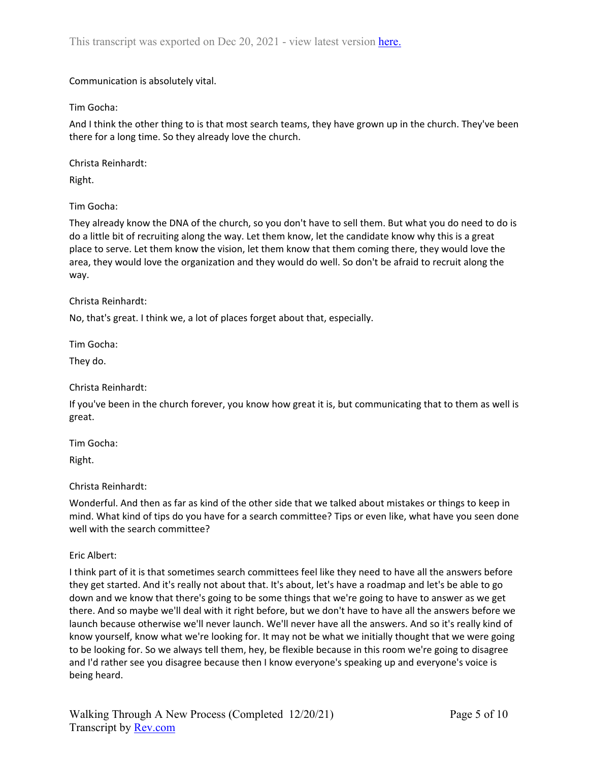Communication is absolutely vital.

Tim Gocha:

And I think the other thing to is that most search teams, they have grown up in the church. They've been there for a long time. So they already love the church.

Christa Reinhardt:

Right.

Tim Gocha:

They already know the DNA of the church, so you don't have to sell them. But what you do need to do is do a little bit of recruiting along the way. Let them know, let the candidate know why this is a great place to serve. Let them know the vision, let them know that them coming there, they would love the area, they would love the organization and they would do well. So don't be afraid to recruit along the way.

Christa Reinhardt:

No, that's great. I think we, a lot of places forget about that, especially.

Tim Gocha:

They do.

Christa Reinhardt:

If you've been in the church forever, you know how great it is, but communicating that to them as well is great.

Tim Gocha:

Right.

Christa Reinhardt:

Wonderful. And then as far as kind of the other side that we talked about mistakes or things to keep in mind. What kind of tips do you have for a search committee? Tips or even like, what have you seen done well with the search committee?

Eric Albert:

I think part of it is that sometimes search committees feel like they need to have all the answers before they get started. And it's really not about that. It's about, let's have a roadmap and let's be able to go down and we know that there's going to be some things that we're going to have to answer as we get there. And so maybe we'll deal with it right before, but we don't have to have all the answers before we launch because otherwise we'll never launch. We'll never have all the answers. And so it's really kind of know yourself, know what we're looking for. It may not be what we initially thought that we were going to be looking for. So we always tell them, hey, be flexible because in this room we're going to disagree and I'd rather see you disagree because then I know everyone's speaking up and everyone's voice is being heard.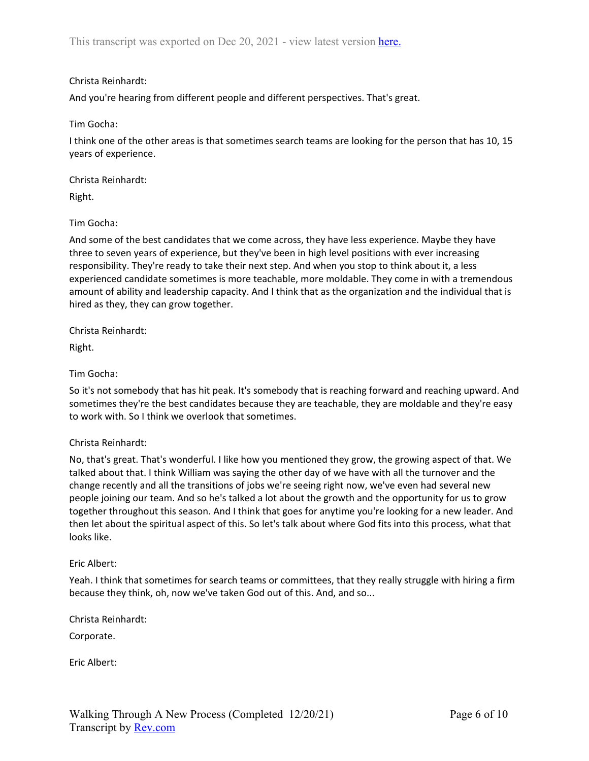And you're hearing from different people and different perspectives. That's great.

#### Tim Gocha:

I think one of the other areas is that sometimes search teams are looking for the person that has 10, 15 years of experience.

Christa Reinhardt:

Right.

### Tim Gocha:

And some of the best candidates that we come across, they have less experience. Maybe they have three to seven years of experience, but they've been in high level positions with ever increasing responsibility. They're ready to take their next step. And when you stop to think about it, a less experienced candidate sometimes is more teachable, more moldable. They come in with a tremendous amount of ability and leadership capacity. And I think that as the organization and the individual that is hired as they, they can grow together.

Christa Reinhardt:

Right.

Tim Gocha:

So it's not somebody that has hit peak. It's somebody that is reaching forward and reaching upward. And sometimes they're the best candidates because they are teachable, they are moldable and they're easy to work with. So I think we overlook that sometimes.

### Christa Reinhardt:

No, that's great. That's wonderful. I like how you mentioned they grow, the growing aspect of that. We talked about that. I think William was saying the other day of we have with all the turnover and the change recently and all the transitions of jobs we're seeing right now, we've even had several new people joining our team. And so he's talked a lot about the growth and the opportunity for us to grow together throughout this season. And I think that goes for anytime you're looking for a new leader. And then let about the spiritual aspect of this. So let's talk about where God fits into this process, what that looks like.

#### Eric Albert:

Yeah. I think that sometimes for search teams or committees, that they really struggle with hiring a firm because they think, oh, now we've taken God out of this. And, and so...

Christa Reinhardt:

Corporate.

Eric Albert: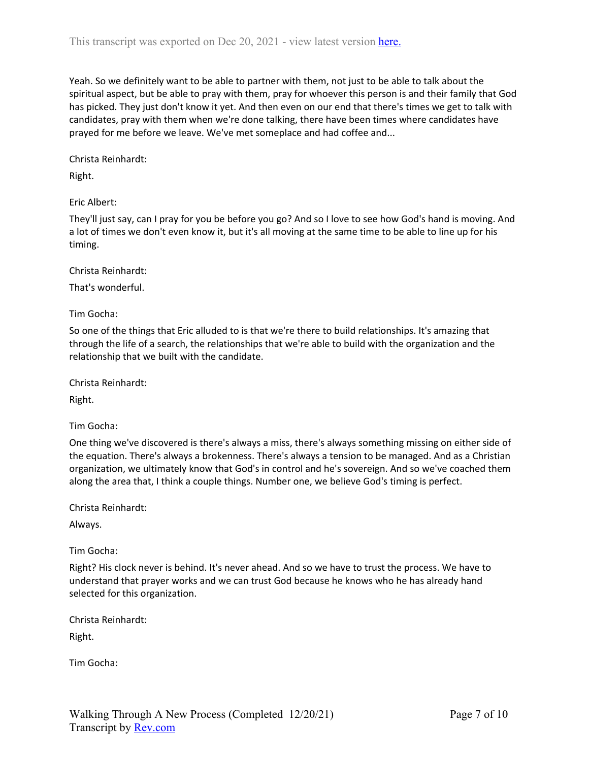Yeah. So we definitely want to be able to partner with them, not just to be able to talk about the spiritual aspect, but be able to pray with them, pray for whoever this person is and their family that God has picked. They just don't know it yet. And then even on our end that there's times we get to talk with candidates, pray with them when we're done talking, there have been times where candidates have prayed for me before we leave. We've met someplace and had coffee and...

Christa Reinhardt:

Right.

Eric Albert:

They'll just say, can I pray for you be before you go? And so I love to see how God's hand is moving. And a lot of times we don't even know it, but it's all moving at the same time to be able to line up for his timing.

Christa Reinhardt:

That's wonderful.

Tim Gocha:

So one of the things that Eric alluded to is that we're there to build relationships. It's amazing that through the life of a search, the relationships that we're able to build with the organization and the relationship that we built with the candidate.

Christa Reinhardt:

Right.

Tim Gocha:

One thing we've discovered is there's always a miss, there's always something missing on either side of the equation. There's always a brokenness. There's always a tension to be managed. And as a Christian organization, we ultimately know that God's in control and he's sovereign. And so we've coached them along the area that, I think a couple things. Number one, we believe God's timing is perfect.

Christa Reinhardt:

Always.

Tim Gocha:

Right? His clock never is behind. It's never ahead. And so we have to trust the process. We have to understand that prayer works and we can trust God because he knows who he has already hand selected for this organization.

Christa Reinhardt:

Right.

Tim Gocha: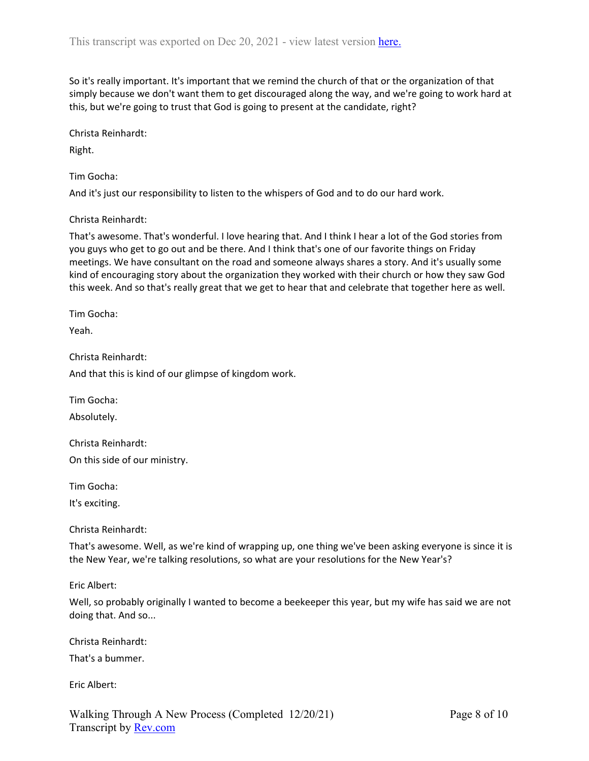So it's really important. It's important that we remind the church of that or the organization of that simply because we don't want them to get discouraged along the way, and we're going to work hard at this, but we're going to trust that God is going to present at the candidate, right?

Christa Reinhardt:

Right.

Tim Gocha:

And it's just our responsibility to listen to the whispers of God and to do our hard work.

### Christa Reinhardt:

That's awesome. That's wonderful. I love hearing that. And I think I hear a lot of the God stories from you guys who get to go out and be there. And I think that's one of our favorite things on Friday meetings. We have consultant on the road and someone always shares a story. And it's usually some kind of encouraging story about the organization they worked with their church or how they saw God this week. And so that's really great that we get to hear that and celebrate that together here as well.

Tim Gocha:

Yeah.

Christa Reinhardt:

And that this is kind of our glimpse of kingdom work.

Tim Gocha:

Absolutely.

Christa Reinhardt: On this side of our ministry.

Tim Gocha:

It's exciting.

Christa Reinhardt:

That's awesome. Well, as we're kind of wrapping up, one thing we've been asking everyone is since it is the New Year, we're talking resolutions, so what are your resolutions for the New Year's?

Eric Albert:

Well, so probably originally I wanted to become a beekeeper this year, but my wife has said we are not doing that. And so...

Christa Reinhardt:

That's a bummer.

Eric Albert:

Walking Through A New Process (Completed 12/20/21) Transcript by [Rev.com](https://www.rev.com/)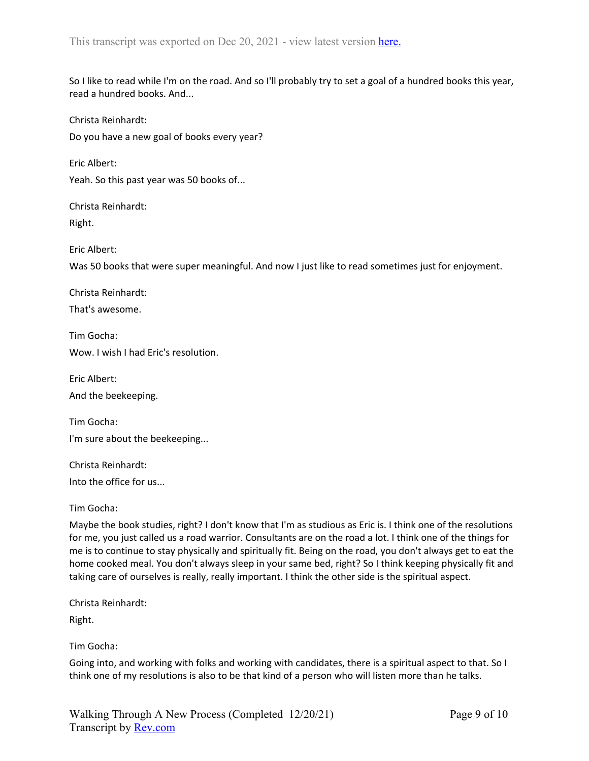So I like to read while I'm on the road. And so I'll probably try to set a goal of a hundred books this year, read a hundred books. And...

Christa Reinhardt: Do you have a new goal of books every year?

Yeah. So this past year was 50 books of...

Christa Reinhardt: Right.

Eric Albert:

Eric Albert:

Was 50 books that were super meaningful. And now I just like to read sometimes just for enjoyment.

Christa Reinhardt: That's awesome.

Tim Gocha: Wow. I wish I had Eric's resolution.

Eric Albert: And the beekeeping.

Tim Gocha: I'm sure about the beekeeping...

Christa Reinhardt: Into the office for us...

Tim Gocha:

Maybe the book studies, right? I don't know that I'm as studious as Eric is. I think one of the resolutions for me, you just called us a road warrior. Consultants are on the road a lot. I think one of the things for me is to continue to stay physically and spiritually fit. Being on the road, you don't always get to eat the home cooked meal. You don't always sleep in your same bed, right? So I think keeping physically fit and taking care of ourselves is really, really important. I think the other side is the spiritual aspect.

Christa Reinhardt:

Right.

Tim Gocha:

Going into, and working with folks and working with candidates, there is a spiritual aspect to that. So I think one of my resolutions is also to be that kind of a person who will listen more than he talks.